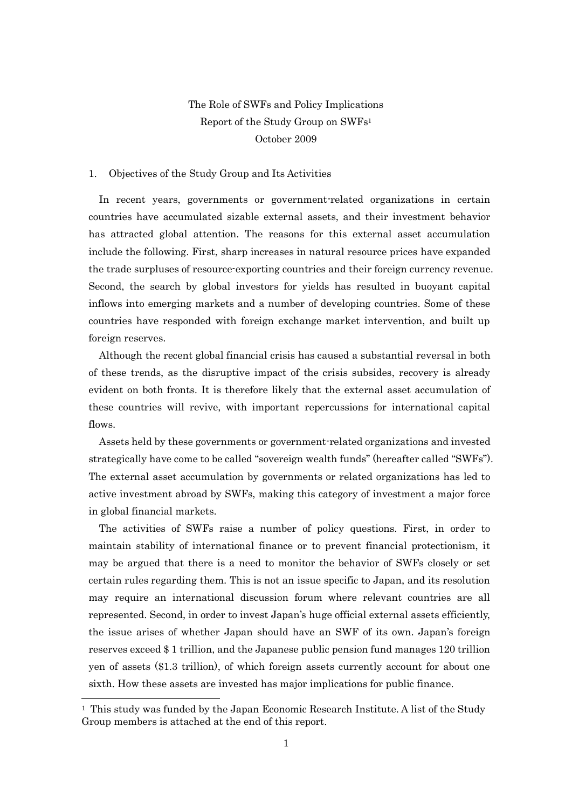# The Role of SWFs and Policy Implications Report of the Study Group on SWFs<sup>1</sup> October 2009

## 1. Objectives of the Study Group and Its Activities

In recent years, governments or government-related organizations in certain countries have accumulated sizable external assets, and their investment behavior has attracted global attention. The reasons for this external asset accumulation include the following. First, sharp increases in natural resource prices have expanded the trade surpluses of resource-exporting countries and their foreign currency revenue. Second, the search by global investors for yields has resulted in buoyant capital inflows into emerging markets and a number of developing countries. Some of these countries have responded with foreign exchange market intervention, and built up foreign reserves.

Although the recent global financial crisis has caused a substantial reversal in both of these trends, as the disruptive impact of the crisis subsides, recovery is already evident on both fronts. It is therefore likely that the external asset accumulation of these countries will revive, with important repercussions for international capital flows.

Assets held by these governments or government-related organizations and invested strategically have come to be called "sovereign wealth funds" (hereafter called "SWFs"). The external asset accumulation by governments or related organizations has led to active investment abroad by SWFs, making this category of investment a major force in global financial markets.

The activities of SWFs raise a number of policy questions. First, in order to maintain stability of international finance or to prevent financial protectionism, it may be argued that there is a need to monitor the behavior of SWFs closely or set certain rules regarding them. This is not an issue specific to Japan, and its resolution may require an international discussion forum where relevant countries are all represented. Second, in order to invest Japan"s huge official external assets efficiently, the issue arises of whether Japan should have an SWF of its own. Japan's foreign reserves exceed \$ 1 trillion, and the Japanese public pension fund manages 120 trillion yen of assets (\$1.3 trillion), of which foreign assets currently account for about one sixth. How these assets are invested has major implications for public finance.

<sup>1</sup> This study was funded by the Japan Economic Research Institute. A list of the Study Group members is attached at the end of this report.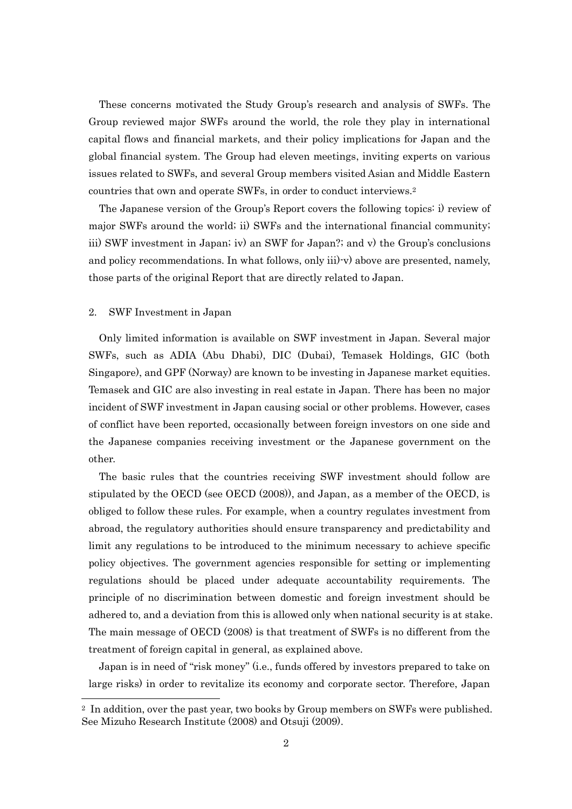These concerns motivated the Study Group"s research and analysis of SWFs. The Group reviewed major SWFs around the world, the role they play in international capital flows and financial markets, and their policy implications for Japan and the global financial system. The Group had eleven meetings, inviting experts on various issues related to SWFs, and several Group members visited Asian and Middle Eastern countries that own and operate SWFs, in order to conduct interviews. 2

The Japanese version of the Group"s Report covers the following topics: i) review of major SWFs around the world; ii) SWFs and the international financial community; iii) SWF investment in Japan; iv) an SWF for Japan?; and v) the Group's conclusions and policy recommendations. In what follows, only iii)-v) above are presented, namely, those parts of the original Report that are directly related to Japan.

# 2. SWF Investment in Japan

 $\overline{a}$ 

Only limited information is available on SWF investment in Japan. Several major SWFs, such as ADIA (Abu Dhabi), DIC (Dubai), Temasek Holdings, GIC (both Singapore), and GPF (Norway) are known to be investing in Japanese market equities. Temasek and GIC are also investing in real estate in Japan. There has been no major incident of SWF investment in Japan causing social or other problems. However, cases of conflict have been reported, occasionally between foreign investors on one side and the Japanese companies receiving investment or the Japanese government on the other.

The basic rules that the countries receiving SWF investment should follow are stipulated by the OECD (see OECD (2008)), and Japan, as a member of the OECD, is obliged to follow these rules. For example, when a country regulates investment from abroad, the regulatory authorities should ensure transparency and predictability and limit any regulations to be introduced to the minimum necessary to achieve specific policy objectives. The government agencies responsible for setting or implementing regulations should be placed under adequate accountability requirements. The principle of no discrimination between domestic and foreign investment should be adhered to, and a deviation from this is allowed only when national security is at stake. The main message of OECD (2008) is that treatment of SWFs is no different from the treatment of foreign capital in general, as explained above.

Japan is in need of "risk money" (i.e., funds offered by investors prepared to take on large risks) in order to revitalize its economy and corporate sector. Therefore, Japan

<sup>2</sup> In addition, over the past year, two books by Group members on SWFs were published. See Mizuho Research Institute (2008) and Otsuji (2009).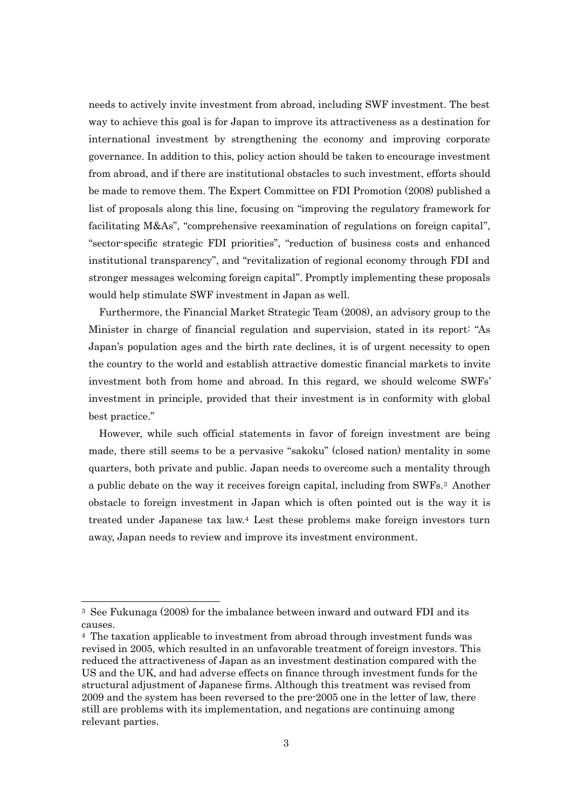needs to actively invite investment from abroad, including SWF investment. The best way to achieve this goal is for Japan to improve its attractiveness as a destination for international investment by strengthening the economy and improving corporate governance. In addition to this, policy action should be taken to encourage investment from abroad, and if there are institutional obstacles to such investment, efforts should be made to remove them. The Expert Committee on FDI Promotion (2008) published a list of proposals along this line, focusing on "improving the regulatory framework for facilitating M&As", "comprehensive reexamination of regulations on foreign capital", "sector-specific strategic FDI priorities", "reduction of business costs and enhanced institutional transparency", and "revitalization of regional economy through FDI and stronger messages welcoming foreign capital". Promptly implementing these proposals would help stimulate SWF investment in Japan as well.

Furthermore, the Financial Market Strategic Team (2008), an advisory group to the Minister in charge of financial regulation and supervision, stated in its report: "As Japan"s population ages and the birth rate declines, it is of urgent necessity to open the country to the world and establish attractive domestic financial markets to invite investment both from home and abroad. In this regard, we should welcome SWFs" investment in principle, provided that their investment is in conformity with global best practice."

However, while such official statements in favor of foreign investment are being made, there still seems to be a pervasive "sakoku" (closed nation) mentality in some quarters, both private and public. Japan needs to overcome such a mentality through a public debate on the way it receives foreign capital, including from SWFs.<sup>3</sup> Another obstacle to foreign investment in Japan which is often pointed out is the way it is treated under Japanese tax law. <sup>4</sup> Lest these problems make foreign investors turn away, Japan needs to review and improve its investment environment.

<sup>3</sup> See Fukunaga (2008) for the imbalance between inward and outward FDI and its causes.

<sup>4</sup> The taxation applicable to investment from abroad through investment funds was revised in 2005, which resulted in an unfavorable treatment of foreign investors. This reduced the attractiveness of Japan as an investment destination compared with the US and the UK, and had adverse effects on finance through investment funds for the structural adjustment of Japanese firms. Although this treatment was revised from 2009 and the system has been reversed to the pre-2005 one in the letter of law, there still are problems with its implementation, and negations are continuing among relevant parties.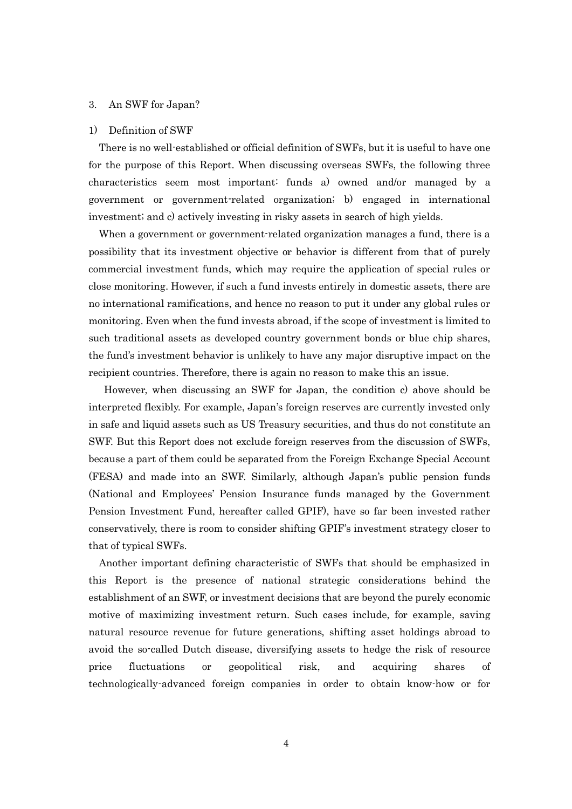# 3. An SWF for Japan?

#### 1) Definition of SWF

There is no well-established or official definition of SWFs, but it is useful to have one for the purpose of this Report. When discussing overseas SWFs, the following three characteristics seem most important: funds a) owned and/or managed by a government or government-related organization; b) engaged in international investment; and c) actively investing in risky assets in search of high yields.

When a government or government-related organization manages a fund, there is a possibility that its investment objective or behavior is different from that of purely commercial investment funds, which may require the application of special rules or close monitoring. However, if such a fund invests entirely in domestic assets, there are no international ramifications, and hence no reason to put it under any global rules or monitoring. Even when the fund invests abroad, if the scope of investment is limited to such traditional assets as developed country government bonds or blue chip shares, the fund"s investment behavior is unlikely to have any major disruptive impact on the recipient countries. Therefore, there is again no reason to make this an issue.

However, when discussing an SWF for Japan, the condition c) above should be interpreted flexibly. For example, Japan"s foreign reserves are currently invested only in safe and liquid assets such as US Treasury securities, and thus do not constitute an SWF. But this Report does not exclude foreign reserves from the discussion of SWFs, because a part of them could be separated from the Foreign Exchange Special Account (FESA) and made into an SWF. Similarly, although Japan"s public pension funds (National and Employees" Pension Insurance funds managed by the Government Pension Investment Fund, hereafter called GPIF), have so far been invested rather conservatively, there is room to consider shifting GPIF"s investment strategy closer to that of typical SWFs.

Another important defining characteristic of SWFs that should be emphasized in this Report is the presence of national strategic considerations behind the establishment of an SWF, or investment decisions that are beyond the purely economic motive of maximizing investment return. Such cases include, for example, saving natural resource revenue for future generations, shifting asset holdings abroad to avoid the so-called Dutch disease, diversifying assets to hedge the risk of resource price fluctuations or geopolitical risk, and acquiring shares of technologically-advanced foreign companies in order to obtain know-how or for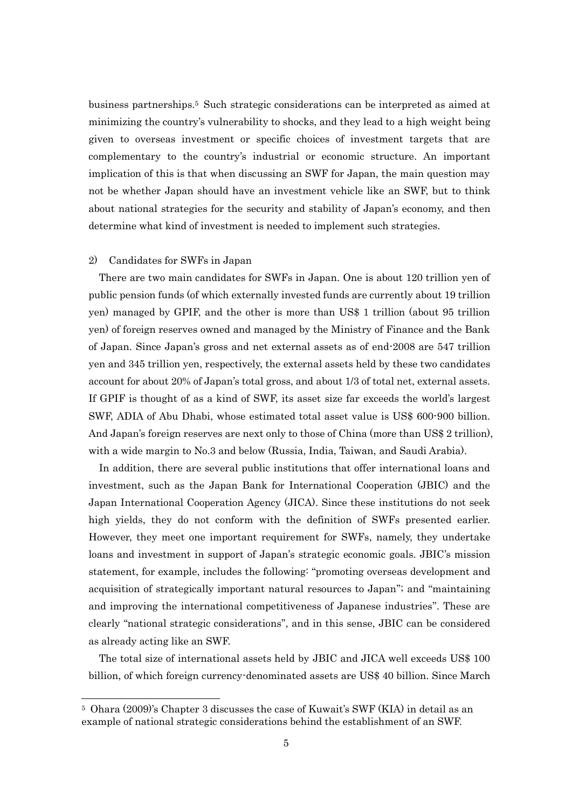business partnerships. <sup>5</sup> Such strategic considerations can be interpreted as aimed at minimizing the country"s vulnerability to shocks, and they lead to a high weight being given to overseas investment or specific choices of investment targets that are complementary to the country"s industrial or economic structure. An important implication of this is that when discussing an SWF for Japan, the main question may not be whether Japan should have an investment vehicle like an SWF, but to think about national strategies for the security and stability of Japan"s economy, and then determine what kind of investment is needed to implement such strategies.

# 2) Candidates for SWFs in Japan

 $\overline{a}$ 

There are two main candidates for SWFs in Japan. One is about 120 trillion yen of public pension funds (of which externally invested funds are currently about 19 trillion yen) managed by GPIF, and the other is more than US\$ 1 trillion (about 95 trillion yen) of foreign reserves owned and managed by the Ministry of Finance and the Bank of Japan. Since Japan"s gross and net external assets as of end-2008 are 547 trillion yen and 345 trillion yen, respectively, the external assets held by these two candidates account for about 20% of Japan"s total gross, and about 1/3 of total net, external assets. If GPIF is thought of as a kind of SWF, its asset size far exceeds the world"s largest SWF, ADIA of Abu Dhabi, whose estimated total asset value is US\$ 600-900 billion. And Japan's foreign reserves are next only to those of China (more than US\$ 2 trillion), with a wide margin to No.3 and below (Russia, India, Taiwan, and Saudi Arabia).

In addition, there are several public institutions that offer international loans and investment, such as the Japan Bank for International Cooperation (JBIC) and the Japan International Cooperation Agency (JICA). Since these institutions do not seek high yields, they do not conform with the definition of SWFs presented earlier. However, they meet one important requirement for SWFs, namely, they undertake loans and investment in support of Japan"s strategic economic goals. JBIC"s mission statement, for example, includes the following: "promoting overseas development and acquisition of strategically important natural resources to Japan"; and "maintaining and improving the international competitiveness of Japanese industries". These are clearly "national strategic considerations", and in this sense, JBIC can be considered as already acting like an SWF.

The total size of international assets held by JBIC and JICA well exceeds US\$ 100 billion, of which foreign currency-denominated assets are US\$ 40 billion. Since March

<sup>&</sup>lt;sup>5</sup> Ohara (2009)'s Chapter 3 discusses the case of Kuwait's SWF (KIA) in detail as an example of national strategic considerations behind the establishment of an SWF.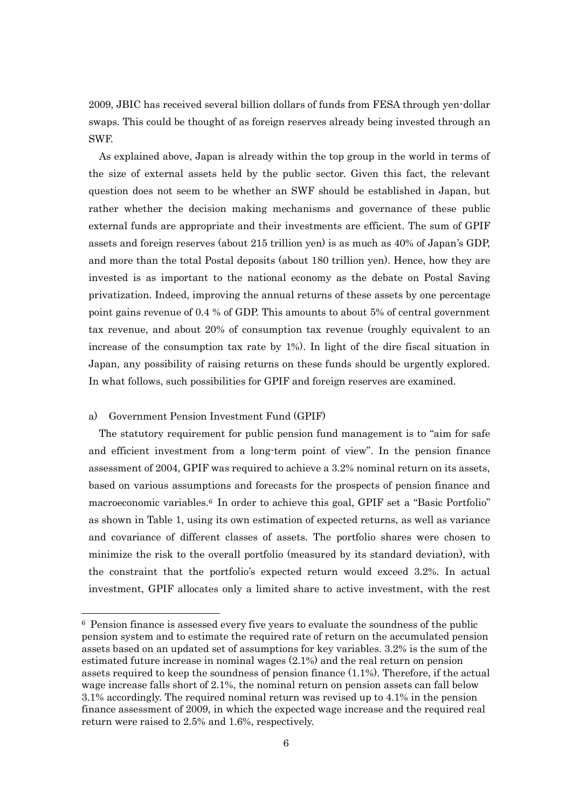2009, JBIC has received several billion dollars of funds from FESA through yen-dollar swaps. This could be thought of as foreign reserves already being invested through an SWF.

As explained above, Japan is already within the top group in the world in terms of the size of external assets held by the public sector. Given this fact, the relevant question does not seem to be whether an SWF should be established in Japan, but rather whether the decision making mechanisms and governance of these public external funds are appropriate and their investments are efficient. The sum of GPIF assets and foreign reserves (about 215 trillion yen) is as much as 40% of Japan"s GDP, and more than the total Postal deposits (about 180 trillion yen). Hence, how they are invested is as important to the national economy as the debate on Postal Saving privatization. Indeed, improving the annual returns of these assets by one percentage point gains revenue of 0.4 % of GDP. This amounts to about 5% of central government tax revenue, and about 20% of consumption tax revenue (roughly equivalent to an increase of the consumption tax rate by 1%). In light of the dire fiscal situation in Japan, any possibility of raising returns on these funds should be urgently explored. In what follows, such possibilities for GPIF and foreign reserves are examined.

# a) Government Pension Investment Fund (GPIF)

 $\overline{a}$ 

The statutory requirement for public pension fund management is to "aim for safe and efficient investment from a long-term point of view". In the pension finance assessment of 2004, GPIF was required to achieve a 3.2% nominal return on its assets, based on various assumptions and forecasts for the prospects of pension finance and macroeconomic variables.<sup>6</sup> In order to achieve this goal, GPIF set a "Basic Portfolio" as shown in Table 1, using its own estimation of expected returns, as well as variance and covariance of different classes of assets. The portfolio shares were chosen to minimize the risk to the overall portfolio (measured by its standard deviation), with the constraint that the portfolio's expected return would exceed 3.2%. In actual investment, GPIF allocates only a limited share to active investment, with the rest

<sup>6</sup> Pension finance is assessed every five years to evaluate the soundness of the public pension system and to estimate the required rate of return on the accumulated pension assets based on an updated set of assumptions for key variables. 3.2% is the sum of the estimated future increase in nominal wages (2.1%) and the real return on pension assets required to keep the soundness of pension finance (1.1%). Therefore, if the actual wage increase falls short of 2.1%, the nominal return on pension assets can fall below 3.1% accordingly. The required nominal return was revised up to 4.1% in the pension finance assessment of 2009, in which the expected wage increase and the required real return were raised to 2.5% and 1.6%, respectively.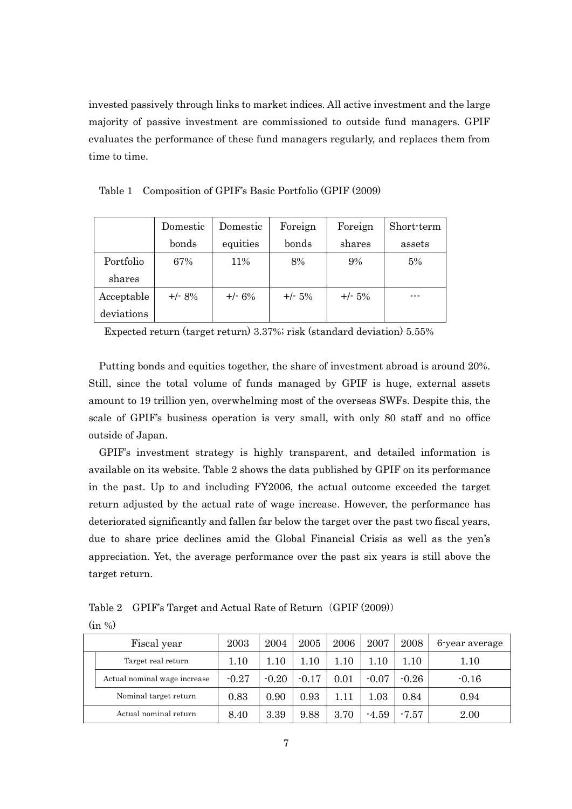invested passively through links to market indices. All active investment and the large majority of passive investment are commissioned to outside fund managers. GPIF evaluates the performance of these fund managers regularly, and replaces them from time to time.

|            | Domestic  | Domestic | Foreign  | Foreign  | Short-term |
|------------|-----------|----------|----------|----------|------------|
|            | bonds     | equities | bonds    | shares   | assets     |
| Portfolio  | 67%       | 11%      | 8%       | 9%       | 5%         |
| shares     |           |          |          |          |            |
| Acceptable | $+/- 8\%$ | $+/- 6%$ | $+/- 5%$ | $+/- 5%$ |            |
| deviations |           |          |          |          |            |

Table 1 Composition of GPIF"s Basic Portfolio (GPIF (2009)

Expected return (target return) 3.37%; risk (standard deviation) 5.55%

Putting bonds and equities together, the share of investment abroad is around 20%. Still, since the total volume of funds managed by GPIF is huge, external assets amount to 19 trillion yen, overwhelming most of the overseas SWFs. Despite this, the scale of GPIF"s business operation is very small, with only 80 staff and no office outside of Japan.

GPIF"s investment strategy is highly transparent, and detailed information is available on its website. Table 2 shows the data published by GPIF on its performance in the past. Up to and including FY2006, the actual outcome exceeded the target return adjusted by the actual rate of wage increase. However, the performance has deteriorated significantly and fallen far below the target over the past two fiscal years, due to share price declines amid the Global Financial Crisis as well as the yen"s appreciation. Yet, the average performance over the past six years is still above the target return.

Table 2 GPIF's Target and Actual Rate of Return (GPIF (2009)) (in %)

| Fiscal year |                              | 2003     | 2004    | 2005    | 2006     | 2007     | 2008    | 6-year average |
|-------------|------------------------------|----------|---------|---------|----------|----------|---------|----------------|
|             | Target real return           | $1.10\,$ | .10     | .10     | $1.10\,$ | $.10\,$  | 1.10    | $1.10\,$       |
|             | Actual nominal wage increase | $-0.27$  | $-0.20$ | $-0.17$ | 0.01     | $-0.07$  | $-0.26$ | $-0.16$        |
|             | Nominal target return        | 0.83     | 0.90    | 0.93    | 1.11     | $1.03\,$ | 0.84    | 0.94           |
|             | Actual nominal return        | 8.40     | 3.39    | 9.88    | 3.70     | $-4.59$  | $-7.57$ | 2.00           |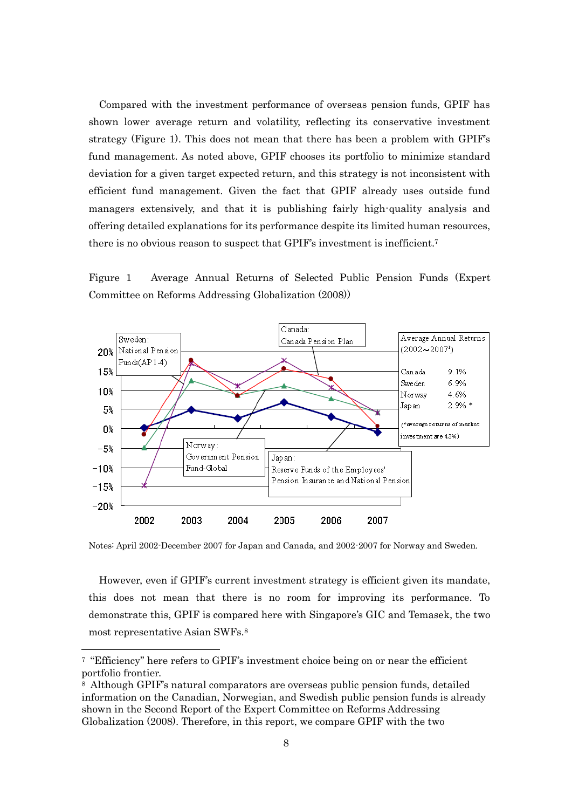Compared with the investment performance of overseas pension funds, GPIF has shown lower average return and volatility, reflecting its conservative investment strategy (Figure 1). This does not mean that there has been a problem with GPIF"s fund management. As noted above, GPIF chooses its portfolio to minimize standard deviation for a given target expected return, and this strategy is not inconsistent with efficient fund management. Given the fact that GPIF already uses outside fund managers extensively, and that it is publishing fairly high-quality analysis and offering detailed explanations for its performance despite its limited human resources, there is no obvious reason to suspect that GPIF's investment is inefficient.<sup>7</sup>

Figure 1 Average Annual Returns of Selected Public Pension Funds (Expert Committee on Reforms Addressing Globalization (2008))



Notes: April 2002-December 2007 for Japan and Canada, and 2002-2007 for Norway and Sweden.

However, even if GPIF"s current investment strategy is efficient given its mandate, this does not mean that there is no room for improving its performance. To demonstrate this, GPIF is compared here with Singapore"s GIC and Temasek, the two most representative Asian SWFs.<sup>8</sup>

<sup>7</sup> "Efficiency" here refers to GPIF"s investment choice being on or near the efficient portfolio frontier.

<sup>8</sup> Although GPIF"s natural comparators are overseas public pension funds, detailed information on the Canadian, Norwegian, and Swedish public pension funds is already shown in the Second Report of the Expert Committee on Reforms Addressing Globalization (2008). Therefore, in this report, we compare GPIF with the two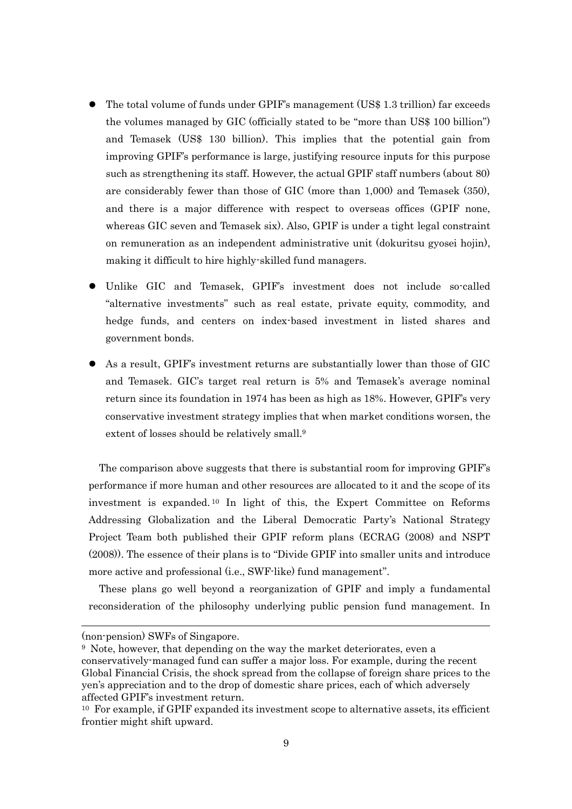- The total volume of funds under GPIF"s management (US\$ 1.3 trillion) far exceeds the volumes managed by GIC (officially stated to be "more than US\$ 100 billion") and Temasek (US\$ 130 billion). This implies that the potential gain from improving GPIF"s performance is large, justifying resource inputs for this purpose such as strengthening its staff. However, the actual GPIF staff numbers (about 80) are considerably fewer than those of GIC (more than 1,000) and Temasek (350), and there is a major difference with respect to overseas offices (GPIF none, whereas GIC seven and Temasek six). Also, GPIF is under a tight legal constraint on remuneration as an independent administrative unit (dokuritsu gyosei hojin), making it difficult to hire highly-skilled fund managers.
- Unlike GIC and Temasek, GPIF"s investment does not include so-called "alternative investments" such as real estate, private equity, commodity, and hedge funds, and centers on index-based investment in listed shares and government bonds.
- As a result, GPIF"s investment returns are substantially lower than those of GIC and Temasek. GIC's target real return is 5% and Temasek's average nominal return since its foundation in 1974 has been as high as 18%. However, GPIF"s very conservative investment strategy implies that when market conditions worsen, the extent of losses should be relatively small.<sup>9</sup>

The comparison above suggests that there is substantial room for improving GPIF"s performance if more human and other resources are allocated to it and the scope of its investment is expanded. <sup>10</sup> In light of this, the Expert Committee on Reforms Addressing Globalization and the Liberal Democratic Party"s National Strategy Project Team both published their GPIF reform plans (ECRAG (2008) and NSPT (2008)). The essence of their plans is to "Divide GPIF into smaller units and introduce more active and professional (i.e., SWF-like) fund management".

These plans go well beyond a reorganization of GPIF and imply a fundamental reconsideration of the philosophy underlying public pension fund management. In

<sup>(</sup>non-pension) SWFs of Singapore.

<sup>9</sup> Note, however, that depending on the way the market deteriorates, even a conservatively-managed fund can suffer a major loss. For example, during the recent Global Financial Crisis, the shock spread from the collapse of foreign share prices to the yen"s appreciation and to the drop of domestic share prices, each of which adversely affected GPIF"s investment return.

<sup>10</sup> For example, if GPIF expanded its investment scope to alternative assets, its efficient frontier might shift upward.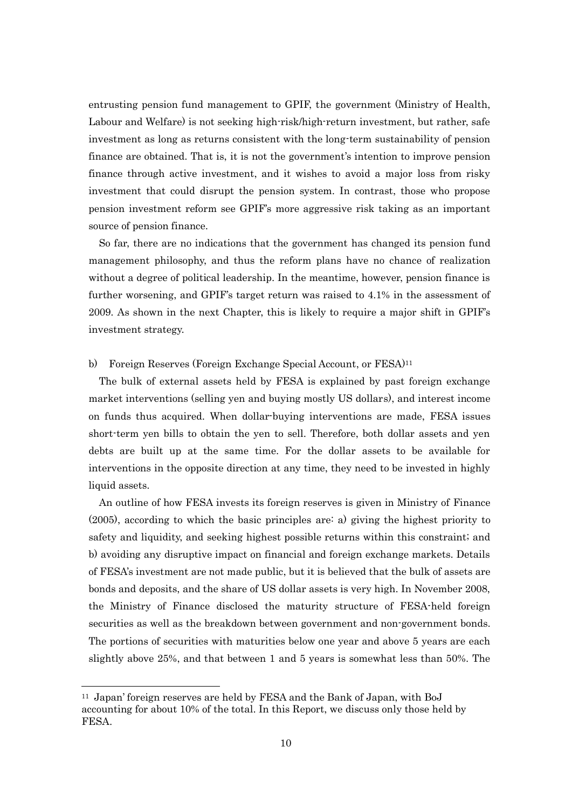entrusting pension fund management to GPIF, the government (Ministry of Health, Labour and Welfare) is not seeking high-risk/high-return investment, but rather, safe investment as long as returns consistent with the long-term sustainability of pension finance are obtained. That is, it is not the government's intention to improve pension finance through active investment, and it wishes to avoid a major loss from risky investment that could disrupt the pension system. In contrast, those who propose pension investment reform see GPIF"s more aggressive risk taking as an important source of pension finance.

So far, there are no indications that the government has changed its pension fund management philosophy, and thus the reform plans have no chance of realization without a degree of political leadership. In the meantime, however, pension finance is further worsening, and GPIF"s target return was raised to 4.1% in the assessment of 2009. As shown in the next Chapter, this is likely to require a major shift in GPIF"s investment strategy.

#### b) Foreign Reserves (Foreign Exchange Special Account, or FESA)<sup>11</sup>

The bulk of external assets held by FESA is explained by past foreign exchange market interventions (selling yen and buying mostly US dollars), and interest income on funds thus acquired. When dollar-buying interventions are made, FESA issues short-term yen bills to obtain the yen to sell. Therefore, both dollar assets and yen debts are built up at the same time. For the dollar assets to be available for interventions in the opposite direction at any time, they need to be invested in highly liquid assets.

An outline of how FESA invests its foreign reserves is given in Ministry of Finance (2005), according to which the basic principles are: a) giving the highest priority to safety and liquidity, and seeking highest possible returns within this constraint; and b) avoiding any disruptive impact on financial and foreign exchange markets. Details of FESA"s investment are not made public, but it is believed that the bulk of assets are bonds and deposits, and the share of US dollar assets is very high. In November 2008, the Ministry of Finance disclosed the maturity structure of FESA-held foreign securities as well as the breakdown between government and non-government bonds. The portions of securities with maturities below one year and above 5 years are each slightly above 25%, and that between 1 and 5 years is somewhat less than 50%. The

<sup>11</sup> Japan" foreign reserves are held by FESA and the Bank of Japan, with BoJ accounting for about 10% of the total. In this Report, we discuss only those held by FESA.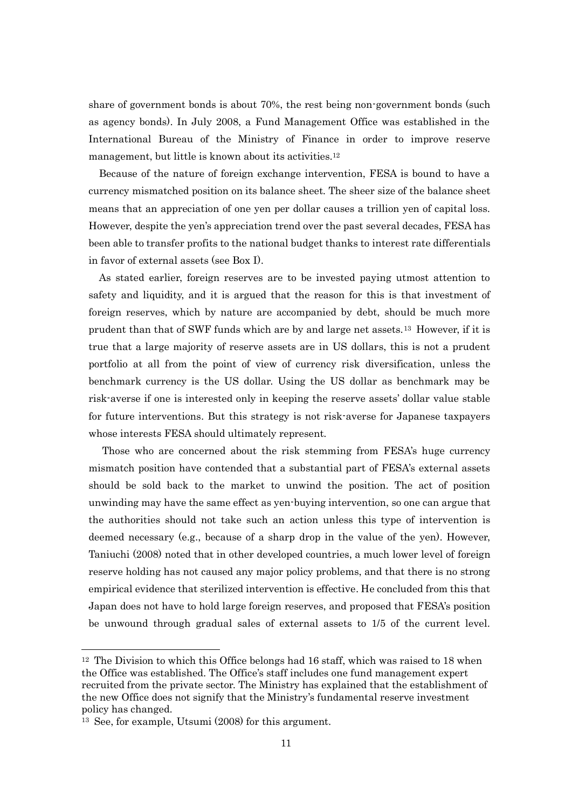share of government bonds is about 70%, the rest being non-government bonds (such as agency bonds). In July 2008, a Fund Management Office was established in the International Bureau of the Ministry of Finance in order to improve reserve management, but little is known about its activities.<sup>12</sup>

Because of the nature of foreign exchange intervention, FESA is bound to have a currency mismatched position on its balance sheet. The sheer size of the balance sheet means that an appreciation of one yen per dollar causes a trillion yen of capital loss. However, despite the yen"s appreciation trend over the past several decades, FESA has been able to transfer profits to the national budget thanks to interest rate differentials in favor of external assets (see Box I).

As stated earlier, foreign reserves are to be invested paying utmost attention to safety and liquidity, and it is argued that the reason for this is that investment of foreign reserves, which by nature are accompanied by debt, should be much more prudent than that of SWF funds which are by and large net assets.<sup>13</sup> However, if it is true that a large majority of reserve assets are in US dollars, this is not a prudent portfolio at all from the point of view of currency risk diversification, unless the benchmark currency is the US dollar. Using the US dollar as benchmark may be risk-averse if one is interested only in keeping the reserve assets" dollar value stable for future interventions. But this strategy is not risk-averse for Japanese taxpayers whose interests FESA should ultimately represent.

Those who are concerned about the risk stemming from FESA's huge currency mismatch position have contended that a substantial part of FESA's external assets should be sold back to the market to unwind the position. The act of position unwinding may have the same effect as yen-buying intervention, so one can argue that the authorities should not take such an action unless this type of intervention is deemed necessary (e.g., because of a sharp drop in the value of the yen). However, Taniuchi (2008) noted that in other developed countries, a much lower level of foreign reserve holding has not caused any major policy problems, and that there is no strong empirical evidence that sterilized intervention is effective. He concluded from this that Japan does not have to hold large foreign reserves, and proposed that FESA"s position be unwound through gradual sales of external assets to 1/5 of the current level.

 $12$  The Division to which this Office belongs had 16 staff, which was raised to 18 when the Office was established. The Office"s staff includes one fund management expert recruited from the private sector. The Ministry has explained that the establishment of the new Office does not signify that the Ministry"s fundamental reserve investment policy has changed.

<sup>13</sup> See, for example, Utsumi (2008) for this argument.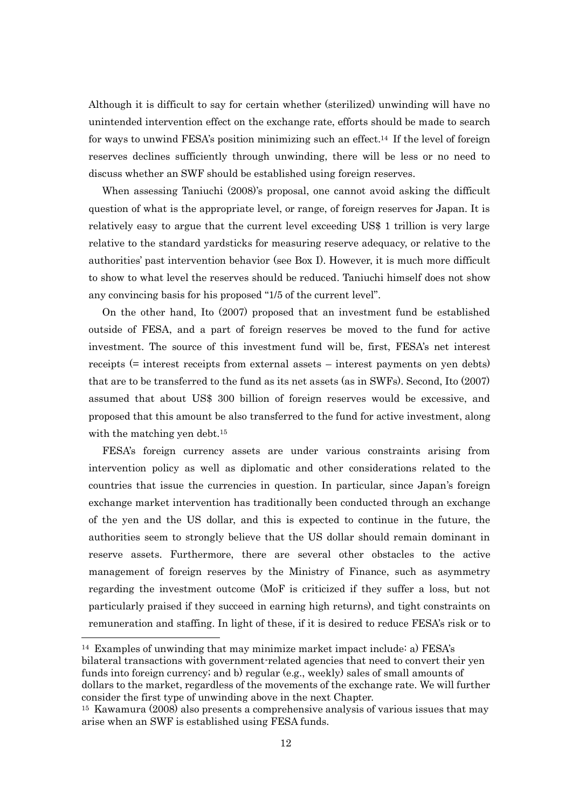Although it is difficult to say for certain whether (sterilized) unwinding will have no unintended intervention effect on the exchange rate, efforts should be made to search for ways to unwind FESA's position minimizing such an effect.<sup>14</sup> If the level of foreign reserves declines sufficiently through unwinding, there will be less or no need to discuss whether an SWF should be established using foreign reserves.

When assessing Taniuchi (2008)'s proposal, one cannot avoid asking the difficult question of what is the appropriate level, or range, of foreign reserves for Japan. It is relatively easy to argue that the current level exceeding US\$ 1 trillion is very large relative to the standard yardsticks for measuring reserve adequacy, or relative to the authorities" past intervention behavior (see Box I). However, it is much more difficult to show to what level the reserves should be reduced. Taniuchi himself does not show any convincing basis for his proposed "1/5 of the current level".

On the other hand, Ito (2007) proposed that an investment fund be established outside of FESA, and a part of foreign reserves be moved to the fund for active investment. The source of this investment fund will be, first, FESA's net interest receipts (= interest receipts from external assets – interest payments on yen debts) that are to be transferred to the fund as its net assets (as in SWFs). Second, Ito (2007) assumed that about US\$ 300 billion of foreign reserves would be excessive, and proposed that this amount be also transferred to the fund for active investment, along with the matching yen debt.<sup>15</sup>

FESA's foreign currency assets are under various constraints arising from intervention policy as well as diplomatic and other considerations related to the countries that issue the currencies in question. In particular, since Japan"s foreign exchange market intervention has traditionally been conducted through an exchange of the yen and the US dollar, and this is expected to continue in the future, the authorities seem to strongly believe that the US dollar should remain dominant in reserve assets. Furthermore, there are several other obstacles to the active management of foreign reserves by the Ministry of Finance, such as asymmetry regarding the investment outcome (MoF is criticized if they suffer a loss, but not particularly praised if they succeed in earning high returns), and tight constraints on remuneration and staffing. In light of these, if it is desired to reduce FESA's risk or to

<sup>&</sup>lt;sup>14</sup> Examples of unwinding that may minimize market impact include: a) FESA's bilateral transactions with government-related agencies that need to convert their yen funds into foreign currency; and b) regular (e.g., weekly) sales of small amounts of dollars to the market, regardless of the movements of the exchange rate. We will further consider the first type of unwinding above in the next Chapter.

<sup>15</sup> Kawamura (2008) also presents a comprehensive analysis of various issues that may arise when an SWF is established using FESA funds.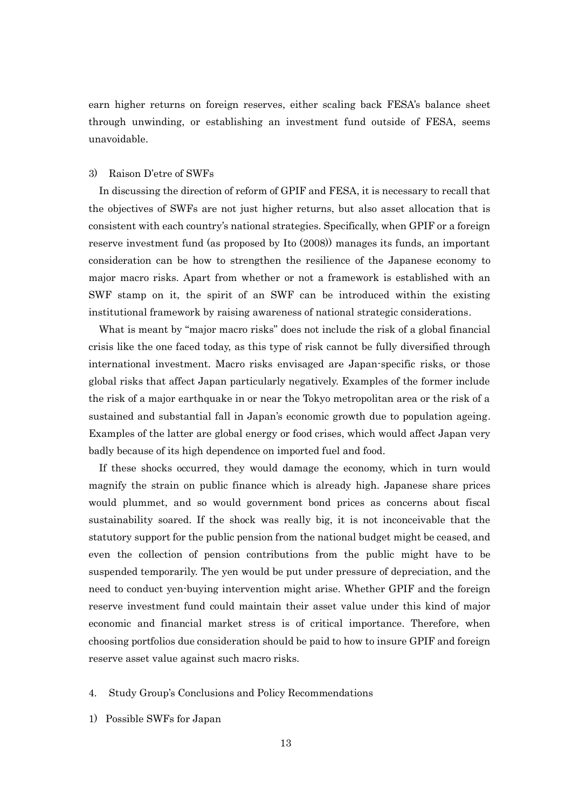earn higher returns on foreign reserves, either scaling back FESA"s balance sheet through unwinding, or establishing an investment fund outside of FESA, seems unavoidable.

# 3) Raison D"etre of SWFs

In discussing the direction of reform of GPIF and FESA, it is necessary to recall that the objectives of SWFs are not just higher returns, but also asset allocation that is consistent with each country"s national strategies. Specifically, when GPIF or a foreign reserve investment fund (as proposed by Ito (2008)) manages its funds, an important consideration can be how to strengthen the resilience of the Japanese economy to major macro risks. Apart from whether or not a framework is established with an SWF stamp on it, the spirit of an SWF can be introduced within the existing institutional framework by raising awareness of national strategic considerations.

What is meant by "major macro risks" does not include the risk of a global financial crisis like the one faced today, as this type of risk cannot be fully diversified through international investment. Macro risks envisaged are Japan-specific risks, or those global risks that affect Japan particularly negatively. Examples of the former include the risk of a major earthquake in or near the Tokyo metropolitan area or the risk of a sustained and substantial fall in Japan"s economic growth due to population ageing. Examples of the latter are global energy or food crises, which would affect Japan very badly because of its high dependence on imported fuel and food.

If these shocks occurred, they would damage the economy, which in turn would magnify the strain on public finance which is already high. Japanese share prices would plummet, and so would government bond prices as concerns about fiscal sustainability soared. If the shock was really big, it is not inconceivable that the statutory support for the public pension from the national budget might be ceased, and even the collection of pension contributions from the public might have to be suspended temporarily. The yen would be put under pressure of depreciation, and the need to conduct yen-buying intervention might arise. Whether GPIF and the foreign reserve investment fund could maintain their asset value under this kind of major economic and financial market stress is of critical importance. Therefore, when choosing portfolios due consideration should be paid to how to insure GPIF and foreign reserve asset value against such macro risks.

- 4. Study Group"s Conclusions and Policy Recommendations
- 1) Possible SWFs for Japan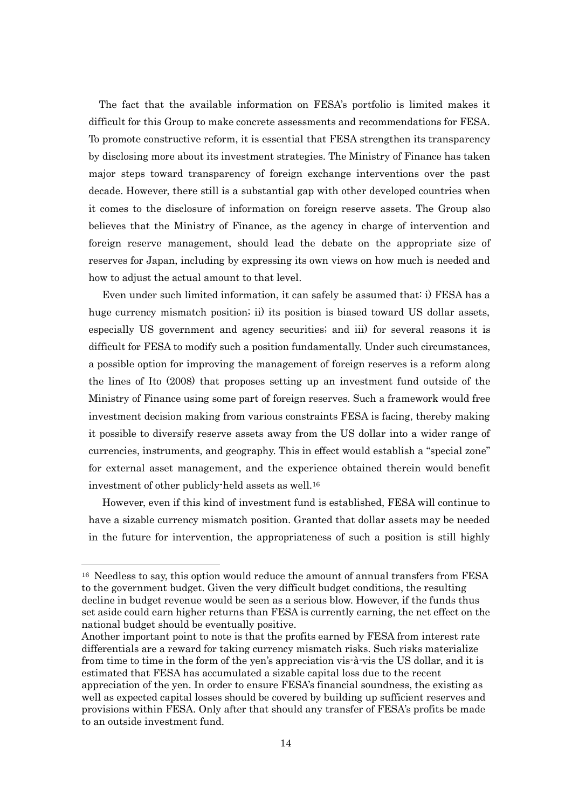The fact that the available information on FESA's portfolio is limited makes it difficult for this Group to make concrete assessments and recommendations for FESA. To promote constructive reform, it is essential that FESA strengthen its transparency by disclosing more about its investment strategies. The Ministry of Finance has taken major steps toward transparency of foreign exchange interventions over the past decade. However, there still is a substantial gap with other developed countries when it comes to the disclosure of information on foreign reserve assets. The Group also believes that the Ministry of Finance, as the agency in charge of intervention and foreign reserve management, should lead the debate on the appropriate size of reserves for Japan, including by expressing its own views on how much is needed and how to adjust the actual amount to that level.

Even under such limited information, it can safely be assumed that: i) FESA has a huge currency mismatch position; ii) its position is biased toward US dollar assets, especially US government and agency securities; and iii) for several reasons it is difficult for FESA to modify such a position fundamentally. Under such circumstances, a possible option for improving the management of foreign reserves is a reform along the lines of Ito (2008) that proposes setting up an investment fund outside of the Ministry of Finance using some part of foreign reserves. Such a framework would free investment decision making from various constraints FESA is facing, thereby making it possible to diversify reserve assets away from the US dollar into a wider range of currencies, instruments, and geography. This in effect would establish a "special zone" for external asset management, and the experience obtained therein would benefit investment of other publicly-held assets as well.<sup>16</sup>

However, even if this kind of investment fund is established, FESA will continue to have a sizable currency mismatch position. Granted that dollar assets may be needed in the future for intervention, the appropriateness of such a position is still highly

<sup>&</sup>lt;sup>16</sup> Needless to say, this option would reduce the amount of annual transfers from FESA to the government budget. Given the very difficult budget conditions, the resulting decline in budget revenue would be seen as a serious blow. However, if the funds thus set aside could earn higher returns than FESA is currently earning, the net effect on the national budget should be eventually positive.

Another important point to note is that the profits earned by FESA from interest rate differentials are a reward for taking currency mismatch risks. Such risks materialize from time to time in the form of the yen"s appreciation vis-à-vis the US dollar, and it is estimated that FESA has accumulated a sizable capital loss due to the recent appreciation of the yen. In order to ensure FESA's financial soundness, the existing as well as expected capital losses should be covered by building up sufficient reserves and provisions within FESA. Only after that should any transfer of FESA"s profits be made to an outside investment fund.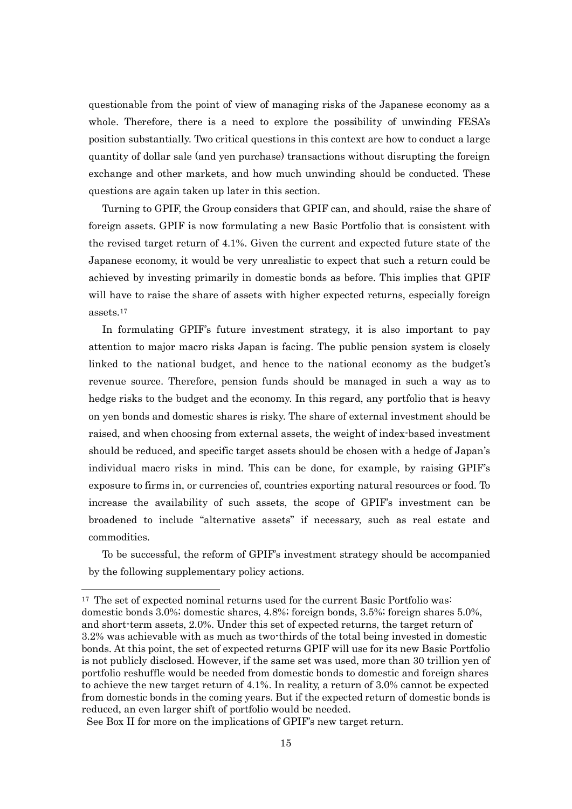questionable from the point of view of managing risks of the Japanese economy as a whole. Therefore, there is a need to explore the possibility of unwinding FESA's position substantially. Two critical questions in this context are how to conduct a large quantity of dollar sale (and yen purchase) transactions without disrupting the foreign exchange and other markets, and how much unwinding should be conducted. These questions are again taken up later in this section.

Turning to GPIF, the Group considers that GPIF can, and should, raise the share of foreign assets. GPIF is now formulating a new Basic Portfolio that is consistent with the revised target return of 4.1%. Given the current and expected future state of the Japanese economy, it would be very unrealistic to expect that such a return could be achieved by investing primarily in domestic bonds as before. This implies that GPIF will have to raise the share of assets with higher expected returns, especially foreign assets.<sup>17</sup>

In formulating GPIF's future investment strategy, it is also important to pay attention to major macro risks Japan is facing. The public pension system is closely linked to the national budget, and hence to the national economy as the budget's revenue source. Therefore, pension funds should be managed in such a way as to hedge risks to the budget and the economy. In this regard, any portfolio that is heavy on yen bonds and domestic shares is risky. The share of external investment should be raised, and when choosing from external assets, the weight of index-based investment should be reduced, and specific target assets should be chosen with a hedge of Japan"s individual macro risks in mind. This can be done, for example, by raising GPIF"s exposure to firms in, or currencies of, countries exporting natural resources or food. To increase the availability of such assets, the scope of GPIF"s investment can be broadened to include "alternative assets" if necessary, such as real estate and commodities.

To be successful, the reform of GPIF"s investment strategy should be accompanied by the following supplementary policy actions.

<sup>&</sup>lt;sup>17</sup> The set of expected nominal returns used for the current Basic Portfolio was: domestic bonds 3.0%; domestic shares, 4.8%; foreign bonds, 3.5%; foreign shares 5.0%, and short-term assets, 2.0%. Under this set of expected returns, the target return of 3.2% was achievable with as much as two-thirds of the total being invested in domestic bonds. At this point, the set of expected returns GPIF will use for its new Basic Portfolio is not publicly disclosed. However, if the same set was used, more than 30 trillion yen of portfolio reshuffle would be needed from domestic bonds to domestic and foreign shares to achieve the new target return of 4.1%. In reality, a return of 3.0% cannot be expected from domestic bonds in the coming years. But if the expected return of domestic bonds is reduced, an even larger shift of portfolio would be needed.

See Box II for more on the implications of GPIF"s new target return.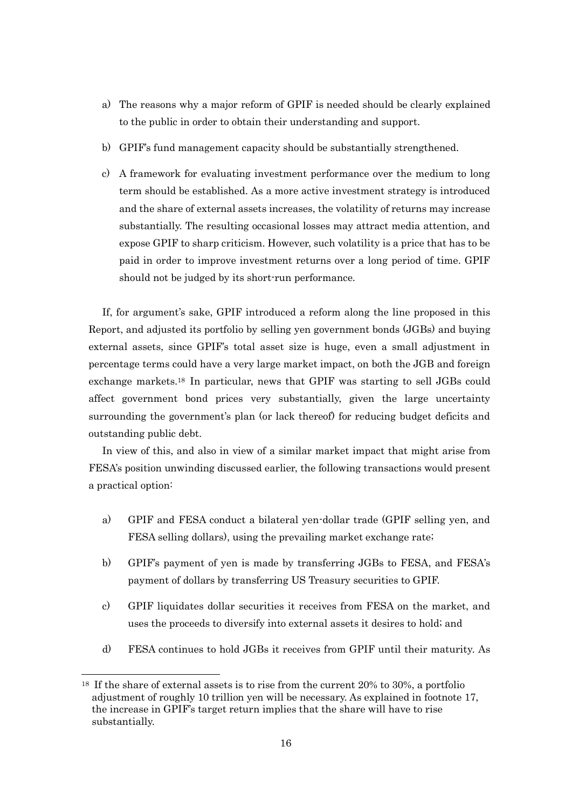- a) The reasons why a major reform of GPIF is needed should be clearly explained to the public in order to obtain their understanding and support.
- b) GPIF"s fund management capacity should be substantially strengthened.
- c) A framework for evaluating investment performance over the medium to long term should be established. As a more active investment strategy is introduced and the share of external assets increases, the volatility of returns may increase substantially. The resulting occasional losses may attract media attention, and expose GPIF to sharp criticism. However, such volatility is a price that has to be paid in order to improve investment returns over a long period of time. GPIF should not be judged by its short-run performance.

If, for argument's sake, GPIF introduced a reform along the line proposed in this Report, and adjusted its portfolio by selling yen government bonds (JGBs) and buying external assets, since GPIF"s total asset size is huge, even a small adjustment in percentage terms could have a very large market impact, on both the JGB and foreign exchange markets. <sup>18</sup> In particular, news that GPIF was starting to sell JGBs could affect government bond prices very substantially, given the large uncertainty surrounding the government's plan (or lack thereof) for reducing budget deficits and outstanding public debt.

In view of this, and also in view of a similar market impact that might arise from FESA"s position unwinding discussed earlier, the following transactions would present a practical option:

- a) GPIF and FESA conduct a bilateral yen-dollar trade (GPIF selling yen, and FESA selling dollars), using the prevailing market exchange rate;
- b) GPIF's payment of yen is made by transferring JGBs to FESA, and FESA's payment of dollars by transferring US Treasury securities to GPIF.
- c) GPIF liquidates dollar securities it receives from FESA on the market, and uses the proceeds to diversify into external assets it desires to hold; and
- d) FESA continues to hold JGBs it receives from GPIF until their maturity. As

<sup>&</sup>lt;sup>18</sup> If the share of external assets is to rise from the current 20% to 30%, a portfolio adjustment of roughly 10 trillion yen will be necessary. As explained in footnote 17, the increase in GPIF"s target return implies that the share will have to rise substantially.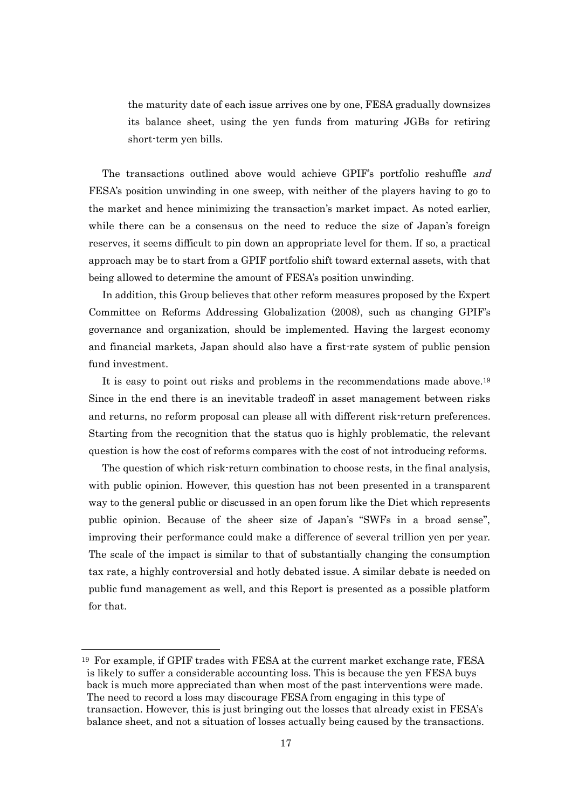the maturity date of each issue arrives one by one, FESA gradually downsizes its balance sheet, using the yen funds from maturing JGBs for retiring short-term yen bills.

The transactions outlined above would achieve GPIF"s portfolio reshuffle and FESA's position unwinding in one sweep, with neither of the players having to go to the market and hence minimizing the transaction"s market impact. As noted earlier, while there can be a consensus on the need to reduce the size of Japan's foreign reserves, it seems difficult to pin down an appropriate level for them. If so, a practical approach may be to start from a GPIF portfolio shift toward external assets, with that being allowed to determine the amount of FESA's position unwinding.

In addition, this Group believes that other reform measures proposed by the Expert Committee on Reforms Addressing Globalization (2008), such as changing GPIF"s governance and organization, should be implemented. Having the largest economy and financial markets, Japan should also have a first-rate system of public pension fund investment.

It is easy to point out risks and problems in the recommendations made above.<sup>19</sup> Since in the end there is an inevitable tradeoff in asset management between risks and returns, no reform proposal can please all with different risk-return preferences. Starting from the recognition that the status quo is highly problematic, the relevant question is how the cost of reforms compares with the cost of not introducing reforms.

The question of which risk-return combination to choose rests, in the final analysis, with public opinion. However, this question has not been presented in a transparent way to the general public or discussed in an open forum like the Diet which represents public opinion. Because of the sheer size of Japan"s "SWFs in a broad sense", improving their performance could make a difference of several trillion yen per year. The scale of the impact is similar to that of substantially changing the consumption tax rate, a highly controversial and hotly debated issue. A similar debate is needed on public fund management as well, and this Report is presented as a possible platform for that.

<sup>19</sup> For example, if GPIF trades with FESA at the current market exchange rate, FESA is likely to suffer a considerable accounting loss. This is because the yen FESA buys back is much more appreciated than when most of the past interventions were made. The need to record a loss may discourage FESA from engaging in this type of transaction. However, this is just bringing out the losses that already exist in FESA"s balance sheet, and not a situation of losses actually being caused by the transactions.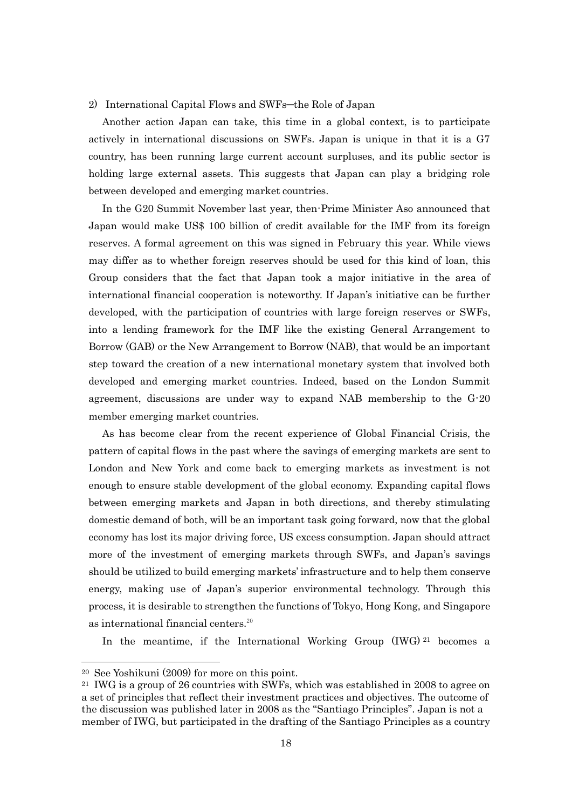## 2) International Capital Flows and SWFs─the Role of Japan

Another action Japan can take, this time in a global context, is to participate actively in international discussions on SWFs. Japan is unique in that it is a G7 country, has been running large current account surpluses, and its public sector is holding large external assets. This suggests that Japan can play a bridging role between developed and emerging market countries.

In the G20 Summit November last year, then-Prime Minister Aso announced that Japan would make US\$ 100 billion of credit available for the IMF from its foreign reserves. A formal agreement on this was signed in February this year. While views may differ as to whether foreign reserves should be used for this kind of loan, this Group considers that the fact that Japan took a major initiative in the area of international financial cooperation is noteworthy. If Japan"s initiative can be further developed, with the participation of countries with large foreign reserves or SWFs, into a lending framework for the IMF like the existing General Arrangement to Borrow (GAB) or the New Arrangement to Borrow (NAB), that would be an important step toward the creation of a new international monetary system that involved both developed and emerging market countries. Indeed, based on the London Summit agreement, discussions are under way to expand NAB membership to the G-20 member emerging market countries.

As has become clear from the recent experience of Global Financial Crisis, the pattern of capital flows in the past where the savings of emerging markets are sent to London and New York and come back to emerging markets as investment is not enough to ensure stable development of the global economy. Expanding capital flows between emerging markets and Japan in both directions, and thereby stimulating domestic demand of both, will be an important task going forward, now that the global economy has lost its major driving force, US excess consumption. Japan should attract more of the investment of emerging markets through SWFs, and Japan's savings should be utilized to build emerging markets' infrastructure and to help them conserve energy, making use of Japan's superior environmental technology. Through this process, it is desirable to strengthen the functions of Tokyo, Hong Kong, and Singapore as international financial centers. 20

In the meantime, if the International Working Group (IWG) <sup>21</sup> becomes a

<sup>20</sup> See Yoshikuni (2009) for more on this point.

<sup>&</sup>lt;sup>21</sup> IWG is a group of 26 countries with SWFs, which was established in 2008 to agree on a set of principles that reflect their investment practices and objectives. The outcome of the discussion was published later in 2008 as the "Santiago Principles". Japan is not a member of IWG, but participated in the drafting of the Santiago Principles as a country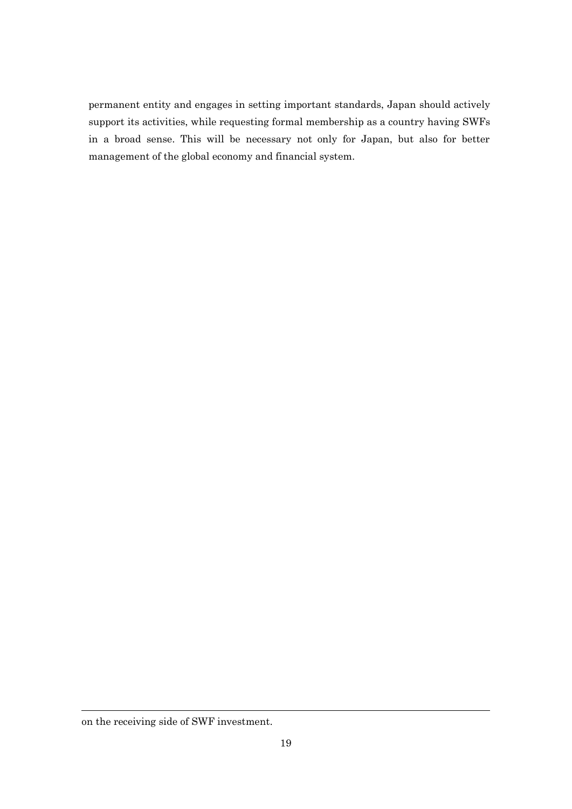permanent entity and engages in setting important standards, Japan should actively support its activities, while requesting formal membership as a country having SWFs in a broad sense. This will be necessary not only for Japan, but also for better management of the global economy and financial system.

on the receiving side of SWF investment.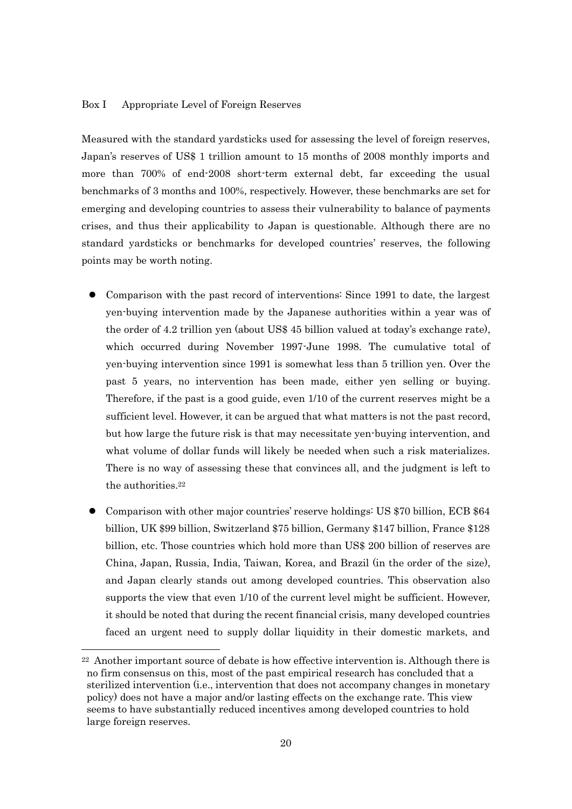## Box I Appropriate Level of Foreign Reserves

Measured with the standard yardsticks used for assessing the level of foreign reserves, Japan"s reserves of US\$ 1 trillion amount to 15 months of 2008 monthly imports and more than 700% of end-2008 short-term external debt, far exceeding the usual benchmarks of 3 months and 100%, respectively. However, these benchmarks are set for emerging and developing countries to assess their vulnerability to balance of payments crises, and thus their applicability to Japan is questionable. Although there are no standard yardsticks or benchmarks for developed countries" reserves, the following points may be worth noting.

- Comparison with the past record of interventions: Since 1991 to date, the largest yen-buying intervention made by the Japanese authorities within a year was of the order of 4.2 trillion yen (about US\$ 45 billion valued at today"s exchange rate), which occurred during November 1997-June 1998. The cumulative total of yen-buying intervention since 1991 is somewhat less than 5 trillion yen. Over the past 5 years, no intervention has been made, either yen selling or buying. Therefore, if the past is a good guide, even 1/10 of the current reserves might be a sufficient level. However, it can be argued that what matters is not the past record, but how large the future risk is that may necessitate yen-buying intervention, and what volume of dollar funds will likely be needed when such a risk materializes. There is no way of assessing these that convinces all, and the judgment is left to the authorities.<sup>22</sup>
- Comparison with other major countries" reserve holdings: US \$70 billion, ECB \$64 billion, UK \$99 billion, Switzerland \$75 billion, Germany \$147 billion, France \$128 billion, etc. Those countries which hold more than US\$ 200 billion of reserves are China, Japan, Russia, India, Taiwan, Korea, and Brazil (in the order of the size), and Japan clearly stands out among developed countries. This observation also supports the view that even 1/10 of the current level might be sufficient. However, it should be noted that during the recent financial crisis, many developed countries faced an urgent need to supply dollar liquidity in their domestic markets, and

 $22$  Another important source of debate is how effective intervention is. Although there is no firm consensus on this, most of the past empirical research has concluded that a sterilized intervention (i.e., intervention that does not accompany changes in monetary policy) does not have a major and/or lasting effects on the exchange rate. This view seems to have substantially reduced incentives among developed countries to hold large foreign reserves.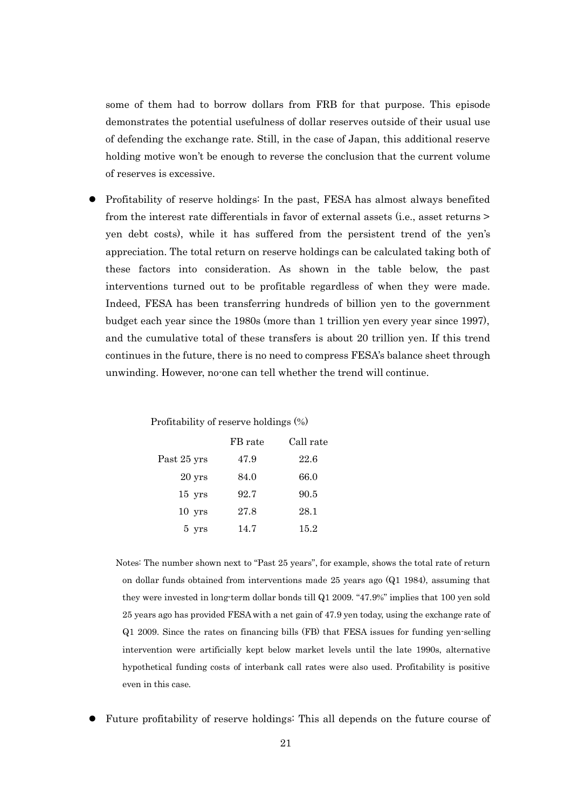some of them had to borrow dollars from FRB for that purpose. This episode demonstrates the potential usefulness of dollar reserves outside of their usual use of defending the exchange rate. Still, in the case of Japan, this additional reserve holding motive won't be enough to reverse the conclusion that the current volume of reserves is excessive.

 Profitability of reserve holdings: In the past, FESA has almost always benefited from the interest rate differentials in favor of external assets (i.e., asset returns > yen debt costs), while it has suffered from the persistent trend of the yen"s appreciation. The total return on reserve holdings can be calculated taking both of these factors into consideration. As shown in the table below, the past interventions turned out to be profitable regardless of when they were made. Indeed, FESA has been transferring hundreds of billion yen to the government budget each year since the 1980s (more than 1 trillion yen every year since 1997), and the cumulative total of these transfers is about 20 trillion yen. If this trend continues in the future, there is no need to compress FESA"s balance sheet through unwinding. However, no-one can tell whether the trend will continue.

| Profitability of reserve holdings (%) |  |  |  |
|---------------------------------------|--|--|--|
|---------------------------------------|--|--|--|

|                  | FB rate | Call rate |
|------------------|---------|-----------|
| Past 25 yrs      | 47.9    | 22.6      |
| $20 \text{ yrs}$ | 84.0    | 66.0      |
| $15$ yrs         | 92.7    | 90.5      |
| $10$ yrs         | 27.8    | 28.1      |
| $5 \mathrm{vrs}$ | 14.7    | 15.2      |

- Notes: The number shown next to "Past 25 years", for example, shows the total rate of return on dollar funds obtained from interventions made 25 years ago (Q1 1984), assuming that they were invested in long-term dollar bonds till Q1 2009. "47.9%" implies that 100 yen sold 25 years ago has provided FESA with a net gain of 47.9 yen today, using the exchange rate of Q1 2009. Since the rates on financing bills (FB) that FESA issues for funding yen-selling intervention were artificially kept below market levels until the late 1990s, alternative hypothetical funding costs of interbank call rates were also used. Profitability is positive even in this case.
- Future profitability of reserve holdings: This all depends on the future course of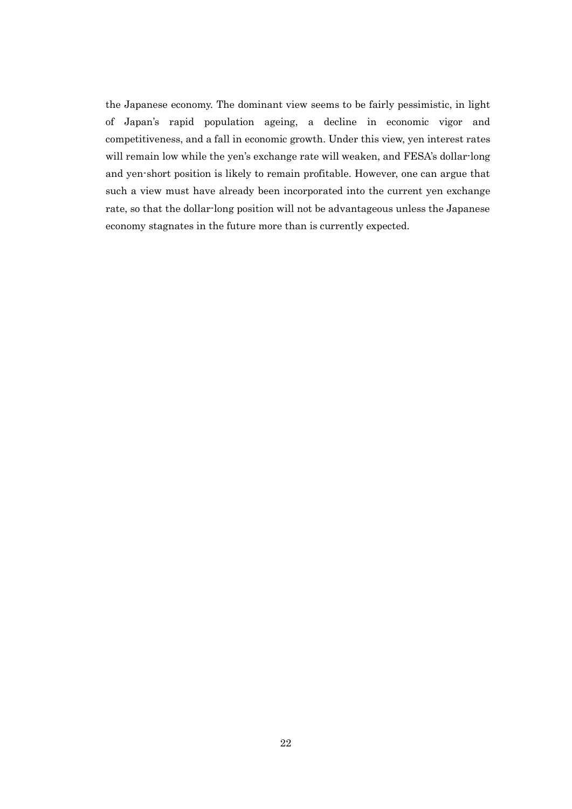the Japanese economy. The dominant view seems to be fairly pessimistic, in light of Japan"s rapid population ageing, a decline in economic vigor and competitiveness, and a fall in economic growth. Under this view, yen interest rates will remain low while the yen's exchange rate will weaken, and FESA's dollar-long and yen-short position is likely to remain profitable. However, one can argue that such a view must have already been incorporated into the current yen exchange rate, so that the dollar-long position will not be advantageous unless the Japanese economy stagnates in the future more than is currently expected.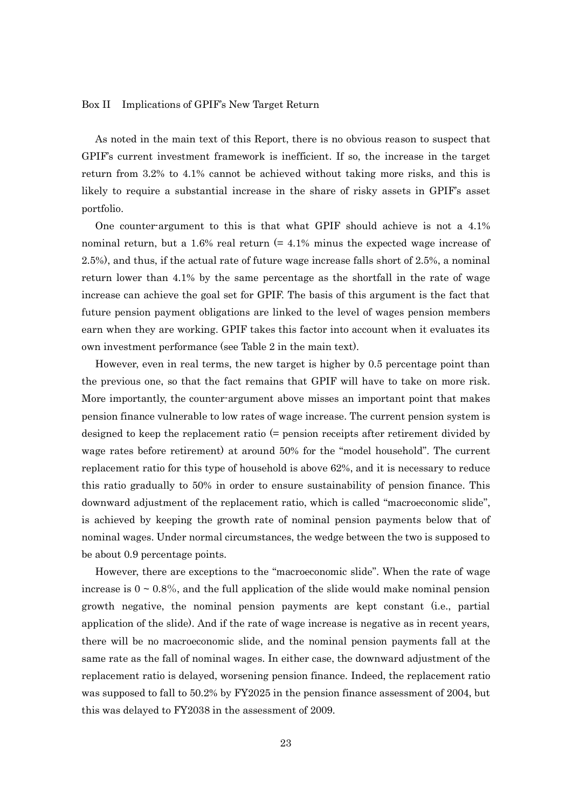#### Box II Implications of GPIF"s New Target Return

As noted in the main text of this Report, there is no obvious reason to suspect that GPIF"s current investment framework is inefficient. If so, the increase in the target return from 3.2% to 4.1% cannot be achieved without taking more risks, and this is likely to require a substantial increase in the share of risky assets in GPIF"s asset portfolio.

One counter-argument to this is that what GPIF should achieve is not a 4.1% nominal return, but a 1.6% real return  $(= 4.1\%$  minus the expected wage increase of 2.5%), and thus, if the actual rate of future wage increase falls short of 2.5%, a nominal return lower than 4.1% by the same percentage as the shortfall in the rate of wage increase can achieve the goal set for GPIF. The basis of this argument is the fact that future pension payment obligations are linked to the level of wages pension members earn when they are working. GPIF takes this factor into account when it evaluates its own investment performance (see Table 2 in the main text).

However, even in real terms, the new target is higher by 0.5 percentage point than the previous one, so that the fact remains that GPIF will have to take on more risk. More importantly, the counter-argument above misses an important point that makes pension finance vulnerable to low rates of wage increase. The current pension system is designed to keep the replacement ratio (= pension receipts after retirement divided by wage rates before retirement) at around 50% for the "model household". The current replacement ratio for this type of household is above 62%, and it is necessary to reduce this ratio gradually to 50% in order to ensure sustainability of pension finance. This downward adjustment of the replacement ratio, which is called "macroeconomic slide", is achieved by keeping the growth rate of nominal pension payments below that of nominal wages. Under normal circumstances, the wedge between the two is supposed to be about 0.9 percentage points.

However, there are exceptions to the "macroeconomic slide". When the rate of wage increase is  $0 \sim 0.8\%$ , and the full application of the slide would make nominal pension growth negative, the nominal pension payments are kept constant (i.e., partial application of the slide). And if the rate of wage increase is negative as in recent years, there will be no macroeconomic slide, and the nominal pension payments fall at the same rate as the fall of nominal wages. In either case, the downward adjustment of the replacement ratio is delayed, worsening pension finance. Indeed, the replacement ratio was supposed to fall to 50.2% by FY2025 in the pension finance assessment of 2004, but this was delayed to FY2038 in the assessment of 2009.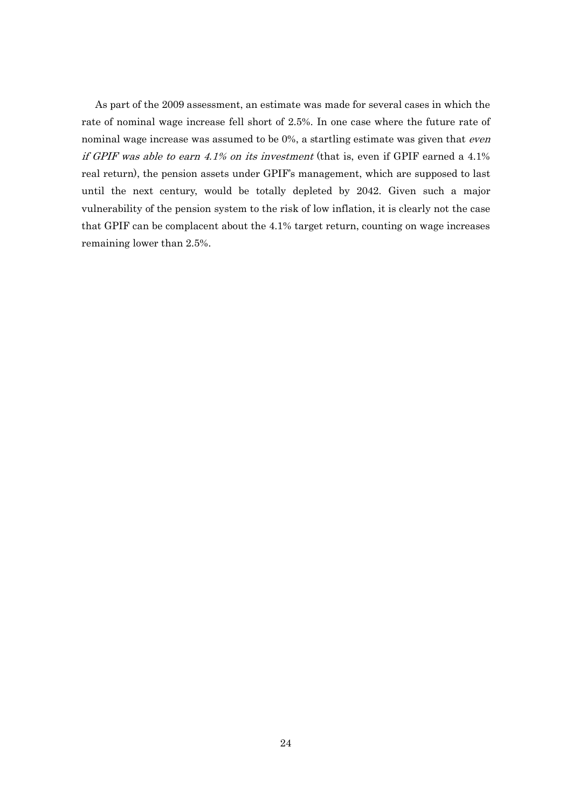As part of the 2009 assessment, an estimate was made for several cases in which the rate of nominal wage increase fell short of 2.5%. In one case where the future rate of nominal wage increase was assumed to be 0%, a startling estimate was given that even if GPIF was able to earn 4.1% on its investment (that is, even if GPIF earned a 4.1% real return), the pension assets under GPIF"s management, which are supposed to last until the next century, would be totally depleted by 2042. Given such a major vulnerability of the pension system to the risk of low inflation, it is clearly not the case that GPIF can be complacent about the 4.1% target return, counting on wage increases remaining lower than 2.5%.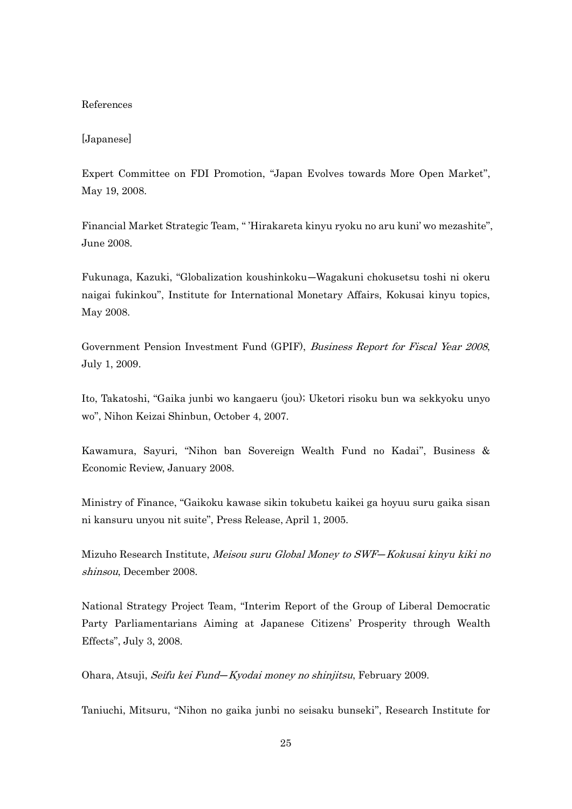# References

# [Japanese]

Expert Committee on FDI Promotion, "Japan Evolves towards More Open Market", May 19, 2008.

Financial Market Strategic Team, " "Hirakareta kinyu ryoku no aru kuni" wo mezashite", June 2008.

Fukunaga, Kazuki, "Globalization koushinkoku*―*Wagakuni chokusetsu toshi ni okeru naigai fukinkou", Institute for International Monetary Affairs, Kokusai kinyu topics, May 2008.

Government Pension Investment Fund (GPIF), Business Report for Fiscal Year 2008, July 1, 2009.

Ito, Takatoshi, "Gaika junbi wo kangaeru (jou); Uketori risoku bun wa sekkyoku unyo wo", Nihon Keizai Shinbun, October 4, 2007.

Kawamura, Sayuri, "Nihon ban Sovereign Wealth Fund no Kadai", Business & Economic Review, January 2008.

Ministry of Finance, "Gaikoku kawase sikin tokubetu kaikei ga hoyuu suru gaika sisan ni kansuru unyou nit suite", Press Release, April 1, 2005.

Mizuho Research Institute, Meisou suru Global Money to SWF*―*Kokusai kinyu kiki no shinsou, December 2008.

National Strategy Project Team, "Interim Report of the Group of Liberal Democratic Party Parliamentarians Aiming at Japanese Citizens" Prosperity through Wealth Effects", July 3, 2008.

Ohara, Atsuji, Seifu kei Fund*―*Kyodai money no shinjitsu, February 2009.

Taniuchi, Mitsuru, "Nihon no gaika junbi no seisaku bunseki", Research Institute for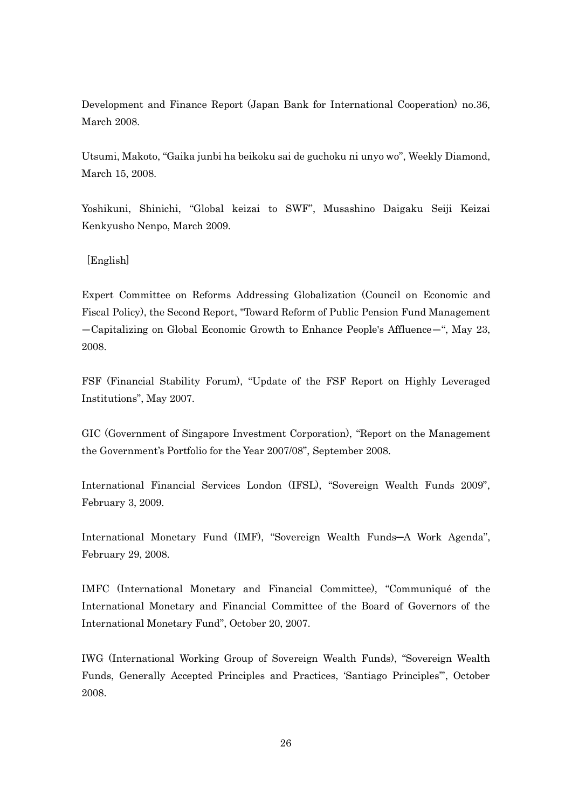Development and Finance Report (Japan Bank for International Cooperation) no.36, March 2008.

Utsumi, Makoto, "Gaika junbi ha beikoku sai de guchoku ni unyo wo", Weekly Diamond, March 15, 2008.

Yoshikuni, Shinichi, "Global keizai to SWF", Musashino Daigaku Seiji Keizai Kenkyusho Nenpo, March 2009.

# [English]

Expert Committee on Reforms Addressing Globalization (Council on Economic and Fiscal Policy), the Second Report, "Toward Reform of Public Pension Fund Management ―Capitalizing on Global Economic Growth to Enhance People's Affluence―", May 23, 2008.

FSF (Financial Stability Forum), "Update of the FSF Report on Highly Leveraged Institutions", May 2007.

GIC (Government of Singapore Investment Corporation), "Report on the Management the Government"s Portfolio for the Year 2007/08", September 2008.

International Financial Services London (IFSL), "Sovereign Wealth Funds 2009", February 3, 2009.

International Monetary Fund (IMF), "Sovereign Wealth Funds─A Work Agenda", February 29, 2008.

IMFC (International Monetary and Financial Committee), "Communiqué of the International Monetary and Financial Committee of the Board of Governors of the International Monetary Fund", October 20, 2007.

IWG (International Working Group of Sovereign Wealth Funds), "Sovereign Wealth Funds, Generally Accepted Principles and Practices, "Santiago Principles"", October 2008.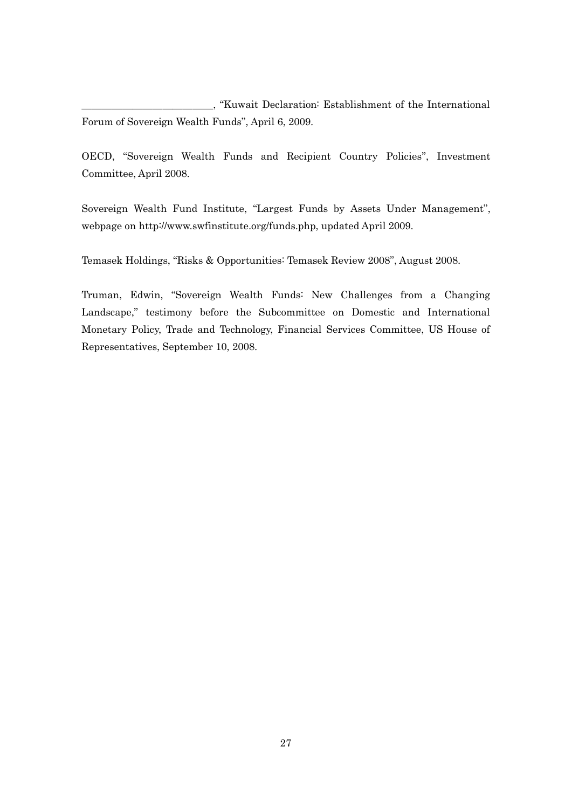\_\_\_\_\_\_\_\_\_\_\_\_\_, "Kuwait Declaration: Establishment of the International Forum of Sovereign Wealth Funds", April 6, 2009.

OECD, "Sovereign Wealth Funds and Recipient Country Policies", Investment Committee, April 2008.

Sovereign Wealth Fund Institute, "Largest Funds by Assets Under Management", webpage on http://www.swfinstitute.org/funds.php, updated April 2009.

Temasek Holdings, "Risks & Opportunities: Temasek Review 2008", August 2008.

Truman, Edwin, "Sovereign Wealth Funds: New Challenges from a Changing Landscape," testimony before the Subcommittee on Domestic and International Monetary Policy, Trade and Technology, Financial Services Committee, US House of Representatives, September 10, 2008.